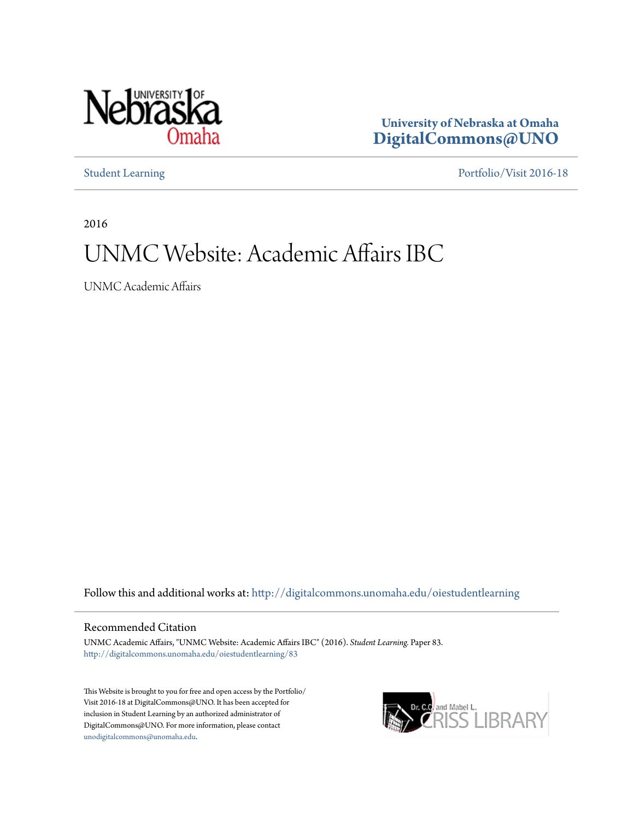

**University of Nebraska at Omaha [DigitalCommons@UNO](http://digitalcommons.unomaha.edu?utm_source=digitalcommons.unomaha.edu%2Foiestudentlearning%2F83&utm_medium=PDF&utm_campaign=PDFCoverPages)**

[Student Learning](http://digitalcommons.unomaha.edu/oiestudentlearning?utm_source=digitalcommons.unomaha.edu%2Foiestudentlearning%2F83&utm_medium=PDF&utm_campaign=PDFCoverPages) [Portfolio/Visit 2016-18](http://digitalcommons.unomaha.edu/oieportfolio?utm_source=digitalcommons.unomaha.edu%2Foiestudentlearning%2F83&utm_medium=PDF&utm_campaign=PDFCoverPages)

2016

# UNMC Website: Academic Affairs IBC

UNMC Academic Affairs

Follow this and additional works at: [http://digitalcommons.unomaha.edu/oiestudentlearning](http://digitalcommons.unomaha.edu/oiestudentlearning?utm_source=digitalcommons.unomaha.edu%2Foiestudentlearning%2F83&utm_medium=PDF&utm_campaign=PDFCoverPages)

### Recommended Citation

UNMC Academic Affairs, "UNMC Website: Academic Affairs IBC" (2016). *Student Learning.* Paper 83. [http://digitalcommons.unomaha.edu/oiestudentlearning/83](http://digitalcommons.unomaha.edu/oiestudentlearning/83?utm_source=digitalcommons.unomaha.edu%2Foiestudentlearning%2F83&utm_medium=PDF&utm_campaign=PDFCoverPages)

This Website is brought to you for free and open access by the Portfolio/ Visit 2016-18 at DigitalCommons@UNO. It has been accepted for inclusion in Student Learning by an authorized administrator of DigitalCommons@UNO. For more information, please contact [unodigitalcommons@unomaha.edu](mailto:unodigitalcommons@unomaha.edu).